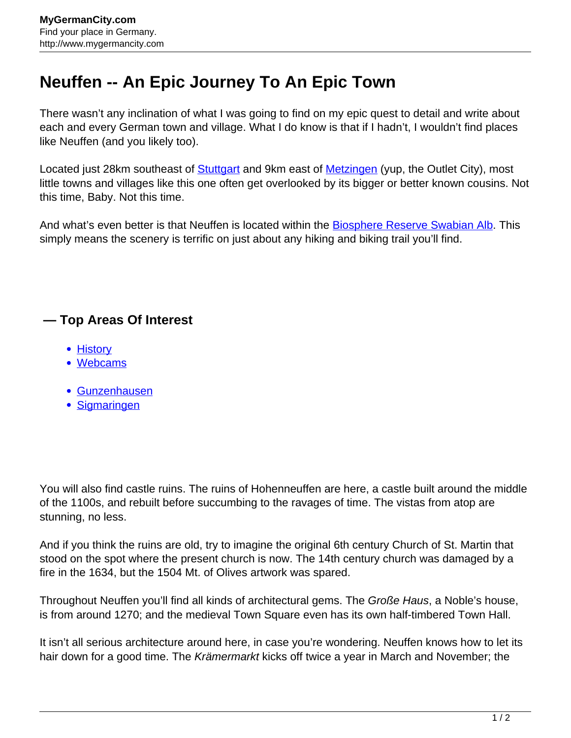## **Neuffen -- An Epic Journey To An Epic Town**

There wasn't any inclination of what I was going to find on my epic quest to detail and write about each and every German town and village. What I do know is that if I hadn't, I wouldn't find places like Neuffen (and you likely too).

Located just 28km southeast of **[Stuttgart](http://www.mygermancity.com/stuttgart)** and 9km east of **Metzingen** (yup, the Outlet City), most little towns and villages like this one often get overlooked by its bigger or better known cousins. Not this time, Baby. Not this time.

And what's even better is that Neuffen is located within the **Biosphere Reserve Swabian Alb**. This simply means the scenery is terrific on just about any hiking and biking trail you'll find.

## **— Top Areas Of Interest**

- [History](http://www.mygermancity.com/leipzig-history)
- [Webcams](http://www.mygermancity.com/neustadt-holstein-webcams)
- [Gunzenhausen](http://www.mygermancity.com/gunzenhausen)
- [Sigmaringen](http://www.mygermancity.com/sigmaringen)

You will also find castle ruins. The ruins of Hohenneuffen are here, a castle built around the middle of the 1100s, and rebuilt before succumbing to the ravages of time. The vistas from atop are stunning, no less.

And if you think the ruins are old, try to imagine the original 6th century Church of St. Martin that stood on the spot where the present church is now. The 14th century church was damaged by a fire in the 1634, but the 1504 Mt. of Olives artwork was spared.

Throughout Neuffen you'll find all kinds of architectural gems. The Große Haus, a Noble's house, is from around 1270; and the medieval Town Square even has its own half-timbered Town Hall.

It isn't all serious architecture around here, in case you're wondering. Neuffen knows how to let its hair down for a good time. The Krämermarkt kicks off twice a year in March and November; the